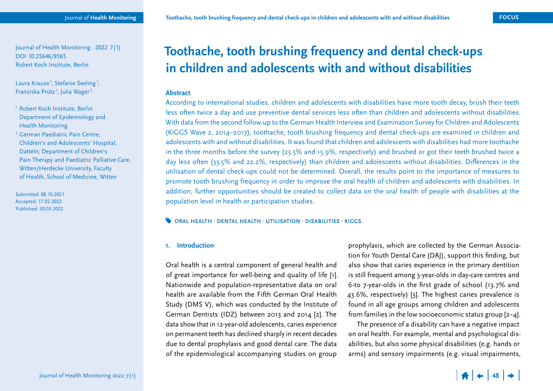Journal of Health Monitoring · 2022 7(1) DOI 10.25646/9565 Robert Koch Institute, Berlin

Laura Krause<sup>1</sup>, Stefanie Seeling<sup>1</sup>, Franziska Prütz<sup>1</sup>, Julia Wager<sup>2</sup>

- 1 Robert Koch Institute, Berlin Department of Epidemiology and Health Monitoring
- 2 German Paediatric Pain Centre, Children's and Adolescents' Hospital, Datteln; Department of Children's Pain Therapy and Paediatric Palliative Care, Witten/Herdecke University, Faculty of Health, School of Medicine, Witten

Submitted: 08.10.2021 Accepted: 17.02.2022 Published: 30.03.2022

# **Toothache, tooth brushing frequency and dental check-ups in children and adolescents with and without disabilities**

## **Abstract**

According to international studies, children and adolescents with disabilities have more tooth decay, brush their teeth less often twice a day and use preventive dental services less often than children and adolescents without disabilities. With data from the second follow-up to the German Health Interview and Examination Survey for Children and Adolescents (KiGGS Wave 2, 2014–2017), toothache, tooth brushing frequency and dental check-ups are examined in children and adolescents with and without disabilities. It was found that children and adolescents with disabilities had more toothache in the three months before the survey (23.5% and 15.9%, respectively) and brushed or got their teeth brushed twice a day less often (33.5% and 22.2%, respectively) than children and adolescents without disabilities. Differences in the utilisation of dental check-ups could not be determined. Overall, the results point to the importance of measures to promote tooth brushing frequency in order to improve the oral health of children and adolescents with disabilities. In addition, further opportunities should be created to collect data on the oral health of people with disabilities at the population level in health or participation studies.

#### **ORAL HEALTH · DENTAL HEALTH · UTILISATION · DISABILITIES · KIGGS**

#### **1. Introduction**

Oral health is a central component of general health and of great importance for well-being and quality of life [1]. Nationwide and population-representative data on oral health are available from the Fifth German Oral Health Study (DMS V), which was conducted by the Institute of German Dentists (IDZ) between 2013 and 2014 [2]. The data show that in 12-year-old adolescents, caries experience on permanent teeth has declined sharply in recent decades due to dental prophylaxis and good dental care. The data of the epidemiological accompanying studies on group

prophylaxis, which are collected by the German Association for Youth Dental Care (DAJ), support this finding, but also show that caries experience in the primary dentition is still frequent among 3-year-olds in day-care centres and 6-to 7-year-olds in the first grade of school (13.7% and 43.6%, respectively) [3]. The highest caries prevalence is found in all age groups among children and adolescents from families in the low socioeconomic status group [2–4].

The presence of a disability can have a negative impact on oral health. For example, mental and psychological disabilities, but also some physical disabilities (e.g. hands or arms) and sensory impairments (e.g. visual impairments,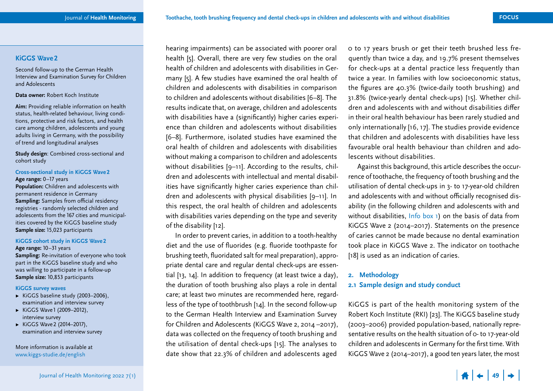## <span id="page-1-0"></span>**KiGGS Wave 2**

Second follow-up to the German Health Interview and Examination Survey for Children and Adolescents

#### **Data owner:** Robert Koch Institute

**Aim:** Providing reliable information on health status, health-related behaviour, living conditions, protective and risk factors, and health care among children, adolescents and young adults living in Germany, with the possibility of trend and longitudinal analyses

**Study design**: Combined cross-sectional and cohort study

## **Cross-sectional study in KiGGS Wave 2**

**Age range:** 0–17 years **Population:** Children and adolescents with permanent residence in Germany **Sampling:** Samples from official residency registries - randomly selected children and adolescents from the 167 cities and municipalities covered by the KiGGS baseline study **Sample size:** 15,023 participants

#### **KiGGS cohort study in KiGGS Wave 2**

**Age range:** 10–31 years **Sampling:** Re-invitation of everyone who took part in the KiGGS baseline study and who was willing to participate in a follow-up **Sample size:** 10,853 participants

#### **KiGGS survey waves**

- ▶ KiGGS baseline study (2003–2006), examination and interview survey
- ▶ KiGGS Wave1 (2009–2012), interview survey
- ▶ KiGGS Wave2 (2014–2017), examination and interview survey

More information is available at [www.kiggs-studie.de/english](https://www.kiggs-studie.de/english)

hearing impairments) can be associated with poorer oral health [5]. Overall, there are very few studies on the oral health of children and adolescents with disabilities in Germany [5]. A few studies have examined the oral health of children and adolescents with disabilities in comparison to children and adolescents without disabilities [6–8]. The results indicate that, on average, children and adolescents with disabilities have a (significantly) higher caries experience than children and adolescents without disabilities [6–8]. Furthermore, isolated studies have examined the oral health of children and adolescents with disabilities without making a comparison to children and adolescents without disabilities [9-11]. According to the results, children and adolescents with intellectual and mental disabilities have significantly higher caries experience than children and adolescents with physical disabilities [9–11]. In this respect, the oral health of children and adolescents with disabilities varies depending on the type and severity of the disability [12].

In order to prevent caries, in addition to a tooth-healthy diet and the use of fluorides (e.g. fluoride toothpaste for brushing teeth, fluoridated salt for meal preparation), appropriate dental care and regular dental check-ups are essential [13, 14]. In addition to frequency (at least twice a day), the duration of tooth brushing also plays a role in dental care; at least two minutes are recommended here, regardless of the type of toothbrush [14]. In the second follow-up to the German Health Interview and Examination Survey for Children and Adolescents (KiGGS Wave 2, 2014 –2017), data was collected on the frequency of tooth brushing and the utilisation of dental check-ups [15]. The analyses to date show that 22.3% of children and adolescents aged

0 to 17 years brush or get their teeth brushed less frequently than twice a day, and 19.7% present themselves for check-ups at a dental practice less frequently than twice a year. In families with low socioeconomic status, the figures are 40.3% (twice-daily tooth brushing) and 31.8% (twice-yearly dental check-ups) [15]. Whether children and adolescents with and without disabilities differ in their oral health behaviour has been rarely studied and only internationally [16, 17]. The studies provide evidence that children and adolescents with disabilities have less favourable oral health behaviour than children and adolescents without disabilities.

Against this background, this article describes the occurrence of toothache, the frequency of tooth brushing and the utilisation of dental check-ups in 3- to 17-year-old children and adolescents with and without officially recognised disability (in the following children and adolescents with and without disabilities, [Info box 1\)](#page-2-0) on the basis of data from KiGGS Wave 2 (2014–2017). Statements on the presence of caries cannot be made because no dental examination took place in KiGGS Wave 2. The indicator on toothache [18] is used as an indication of caries.

## **2. Methodology 2.1 Sample design and study conduct**

KiGGS is part of the health monitoring system of the Robert Koch Institute (RKI) [23]. The KiGGS baseline study (2003–2006) provided population-based, nationally representative results on the health situation of 0- to 17-year-old children and adolescents in Germany for the first time. With KiGGS Wave 2 (2014–2017), a good ten years later, the most

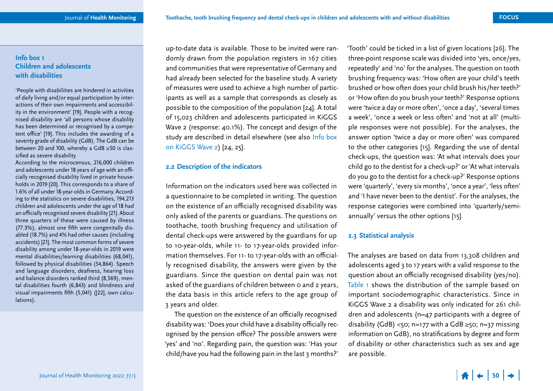## <span id="page-2-0"></span>**Info box 1 Children and adolescents with disabilities**

'People with disabilities are hindered in activities of daily living and/or equal participation by interactions of their own impairments and accessibility in the environment' [19]. People with a recognised disability are 'all persons whose disability has been determined or recognised by a competent office' [19]. This includes the awarding of a severity grade of disability (GdB). The GdB can be between 20 and 100, whereby a GdB ≥50 is classified as severe disability.

According to the microcensus, 216,000 children and adolescents under 18 years of age with an officially recognised disability lived in private households in 2019 [20]. This corresponds to a share of 1.6% of all under 18-year-olds in Germany. According to the statistics on severe disabilities, 194,213 children and adolescents under the age of 18 had an officially recognised severe disability [21]. About three quarters of these were caused by illness (77.3%), almost one fifth were congenitally disabled (18.7%) and 4% had other causes (including accidents) [21]. The most common forms of severe disability among under 18-year-olds in 2019 were mental disabilities/learning disabilities (68,041), followed by physical disabilities (54,864). Speech and language disorders, deafness, hearing loss and balance disorders ranked third (8,569), mental disabilities fourth (6,843) and blindness and visual impairments fifth (5,041) ([22], own calculations).

up-to-date data is available. Those to be invited were randomly drawn from the population registers in 167 cities and communities that were representative of Germany and had already been selected for the baseline study. A variety of measures were used to achieve a high number of participants as well as a sample that corresponds as closely as possible to the composition of the population [24]. A total of 15,023 children and adolescents participated in KiGGS Wave 2 (response: 40.1%). The concept and design of the study are described in detail elsewhere (see also Info box [on KiGGS Wave 2\)](#page-1-0) [24, 25].

## **2.2 Description of the indicators**

Information on the indicators used here was collected in a questionnaire to be completed in writing. The question on the existence of an officially recognised disability was only asked of the parents or guardians. The questions on toothache, tooth brushing frequency and utilisation of dental check-ups were answered by the guardians for up to 10-year-olds, while 11- to 17-year-olds provided information themselves. For 11- to 17-year-olds with an officially recognised disability, the answers were given by the guardians. Since the question on dental pain was not asked of the guardians of children between 0 and 2 years, the data basis in this article refers to the age group of 3 years and older.

The question on the existence of an officially recognised disability was: 'Does your child have a disability officially recognised by the pension office? The possible answers were 'yes' and 'no'. Regarding pain, the question was: 'Has your child/have you had the following pain in the last 3 months?' 'Tooth' could be ticked in a list of given locations [26]. The three-point response scale was divided into 'yes, once/yes, repeatedly' and 'no' for the analyses. The question on tooth brushing frequency was: 'How often are your child's teeth brushed or how often does your child brush his/her teeth?' or 'How often do you brush your teeth?' Response options were 'twice a day or more often', 'once a day', 'several times a week', 'once a week or less often' and 'not at all' (multiple responses were not possible). For the analyses, the answer option 'twice a day or more often' was compared to the other categories [15]. Regarding the use of dental check-ups, the question was: 'At what intervals does your child go to the dentist for a check-up?' or 'At what intervals do you go to the dentist for a check-up?' Response options were 'quarterly', 'every six months', 'once a year', 'less often' and 'I have never been to the dentist'. For the analyses, the response categories were combined into 'quarterly/semiannually' versus the other options [15].

## **2.3 Statistical analysis**

The analyses are based on data from 13,308 children and adolescents aged 3 to 17 years with a valid response to the question about an officially recognised disability (yes/no). [Table 1](#page-3-0) shows the distribution of the sample based on important sociodemographic characteristics. Since in KiGGS Wave 2 a disability was only indicated for 261 children and adolescents (n=47 participants with a degree of disability (GdB) <50; n=177 with a GdB  $\ge$ 50; n=37 missing information on GdB), no stratifications by degree and form of disability or other characteristics such as sex and age are possible.

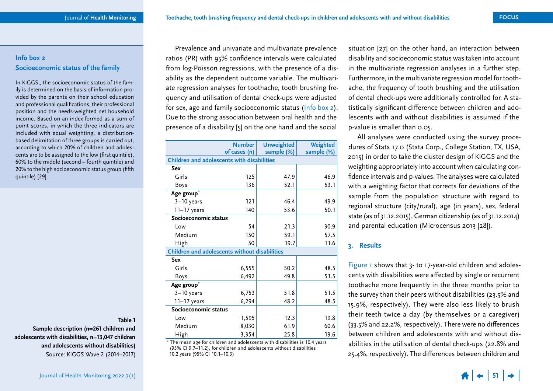## <span id="page-3-0"></span>**Info box 2 Socioeconomic status of the family**

In KiGGS,, the socioeconomic status of the family is determined on the basis of information provided by the parents on their school education and professional qualifications, their professional position and the needs-weighted net household income. Based on an index formed as a sum of point scores, in which the three indicators are included with equal weighting, a distributionbased delimitation of three groups is carried out, according to which 20% of children and adolescents are to be assigned to the low (first quintile), 60% to the middle (second – fourth quintile) and 20% to the high socioeconomic status group (fifth quintile) [29].

**Table 1** 

**Sample description (n=261 children and adolescents with disabilities, n=13,047 children and adolescents without disabilities)** Source: KiGGS Wave 2 (2014–2017)

Prevalence and univariate and multivariate prevalence ratios (PR) with 95% confidence intervals were calculated from log-Poisson regressions, with the presence of a disability as the dependent outcome variable. The multivariate regression analyses for toothache, tooth brushing frequency and utilisation of dental check-ups were adjusted for sex, age and family socioeconomic status (Info box 2). Due to the strong association between oral health and the presence of a disability [5] on the one hand and the social

|                                                      | <b>Number</b> | <b>Unweighted</b> | Weighted   |  |
|------------------------------------------------------|---------------|-------------------|------------|--|
|                                                      | of cases (n)  | sample (%)        | sample (%) |  |
| <b>Children and adolescents with disabilities</b>    |               |                   |            |  |
| <b>Sex</b>                                           |               |                   |            |  |
| Girls                                                | 125           | 47.9              | 46.9       |  |
| Boys                                                 | 136           | 52.1              | 53.1       |  |
| Age group*                                           |               |                   |            |  |
| $3-10$ years                                         | 121           | 46.4              | 49.9       |  |
| $11-17$ years                                        | 140           | 53.6              | 50.1       |  |
| Socioeconomic status                                 |               |                   |            |  |
| Low                                                  | 54            | 21.3              | 30.9       |  |
| Medium                                               | 150           | 59.1              | 57.5       |  |
| High                                                 | 50            | 19.7              | 11.6       |  |
| <b>Children and adolescents without disabilities</b> |               |                   |            |  |
| <b>Sex</b>                                           |               |                   |            |  |
| Girls                                                | 6,555         | 50.2              | 48.5       |  |
| <b>Boys</b>                                          | 6,492         | 49.8              | 51.5       |  |
| Age group*                                           |               |                   |            |  |
| $3-10$ years                                         | 6,753         | 51.8              | 51.5       |  |
| $11-17$ years                                        | 6,294         | 48.2              | 48.5       |  |
| Socioeconomic status                                 |               |                   |            |  |
| Low                                                  | 1,595         | 12.3              | 19.8       |  |
| Medium                                               | 8,030         | 61.9              | 60.6       |  |
| High                                                 | 3,354         | 25.8              | 19.6       |  |

\* The mean age for children and adolescents with disabilities is 10.4 years (95% CI 9.7–11.2), for children and adolescents without disabilities 10.2 years (95% CI 10.1–10.3)

situation [27] on the other hand, an interaction between disability and socioeconomic status was taken into account in the multivariate regression analyses in a further step. Furthermore, in the multivariate regression model for toothache, the frequency of tooth brushing and the utilisation of dental check-ups were additionally controlled for. A statistically significant difference between children and adolescents with and without disabilities is assumed if the p-value is smaller than 0.05.

All analyses were conducted using the survey procedures of Stata 17.0 (Stata Corp., College Station, TX, USA, 2015) in order to take the cluster design of KiGGS and the weighting appropriately into account when calculating confidence intervals and p-values. The analyses were calculated with a weighting factor that corrects for deviations of the sample from the population structure with regard to regional structure (city/rural), age (in years), sex, federal state (as of 31.12.2015), German citizenship (as of 31.12.2014) and parental education (Microcensus 2013 [28]).

## **3. Results**

[Figure 1](#page-4-0) shows that 3- to 17-year-old children and adolescents with disabilities were affected by single or recurrent toothache more frequently in the three months prior to the survey than their peers without disabilities (23.5% and 15.9%, respectively). They were also less likely to brush their teeth twice a day (by themselves or a caregiver) (33.5% and 22.2%, respectively). There were no differences between children and adolescents with and without disabilities in the utilisation of dental check-ups (22.8% and 25.4%, respectively). The differences between children and

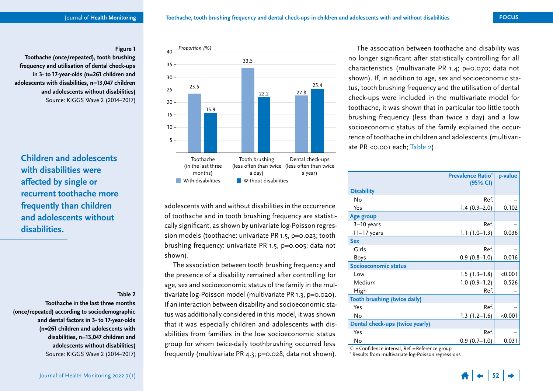#### **Figure 1**

<span id="page-4-0"></span>**Toothache (once/repeated), tooth brushing frequency and utilisation of dental check-ups in 3- to 17-year-olds (n=261 children and adolescents with disabilities, n=13,047 children and adolescents without disabilities)**  Source: KiGGS Wave 2 (2014–2017)

**Children and adolescents with disabilities were affected by single or recurrent toothache more frequently than children and adolescents without disabilities.**

#### **Table 2**

**Toothache in the last three months (once/repeated) according to sociodemographic and dental factors in 3- to 17-year-olds (n=261 children and adolescents with disabilities, n=13,047 children and adolescents without disabilities)**  Source: KiGGS Wave 2 (2014–2017)



adolescents with and without disabilities in the occurrence of toothache and in tooth brushing frequency are statistically significant, as shown by univariate log-Poisson regression models (toothache: univariate PR 1.5, p=0.023; tooth brushing frequency: univariate PR 1.5, p=0.005; data not shown).

The association between tooth brushing frequency and the presence of a disability remained after controlling for age, sex and socioeconomic status of the family in the multivariate log-Poisson model (multivariate PR 1.3, p=0.020). If an interaction between disability and socioeconomic status was additionally considered in this model, it was shown that it was especially children and adolescents with disabilities from families in the low socioeconomic status group for whom twice-daily toothbrushing occurred less frequently (multivariate PR 4.3; p=0.028; data not shown).

The association between toothache and disability was no longer significant after statistically controlling for all characteristics (multivariate PR 1.4; p=0.070; data not shown). If, in addition to age, sex and socioeconomic status, tooth brushing frequency and the utilisation of dental check-ups were included in the multivariate model for toothache, it was shown that in particular too little tooth brushing frequency (less than twice a day) and a low socioeconomic status of the family explained the occurrence of toothache in children and adolescents (multivariate PR <0.001 each; Table 2).

|                                     | <b>Prevalence Ratio*</b> | p-value |
|-------------------------------------|--------------------------|---------|
|                                     | (95% CI)                 |         |
| <b>Disability</b>                   |                          |         |
| Nο                                  | Ref.                     |         |
| Yes                                 | $1.4(0.9-2.0)$           | 0.102   |
| Age group                           |                          |         |
| $3-10$ years                        | Ref.                     |         |
| 11–17 years                         | $1.1(1.0-1.3)$           | 0.036   |
| <b>Sex</b>                          |                          |         |
| Girls                               | Ref.                     |         |
| Boys                                | $0.9(0.8-1.0)$           | 0.016   |
| Socioeconomic status                |                          |         |
| Low                                 | $1.5(1.3-1.8)$           | < 0.001 |
| Medium                              | $1.0(0.9-1.2)$           | 0.526   |
| High                                | Ref.                     |         |
| <b>Tooth brushing (twice daily)</b> |                          |         |
| Yes                                 | Ref.                     |         |
| No                                  | $1.3(1.2-1.6)$           | < 0.001 |
| Dental check-ups (twice yearly)     |                          |         |
| Yes                                 | Ref.                     |         |
| No                                  | $0.9(0.7-1.0)$           | 0.031   |

CI = Confidence interval, Ref. = Reference group

\* Results from multivariate log-Poisson regressions

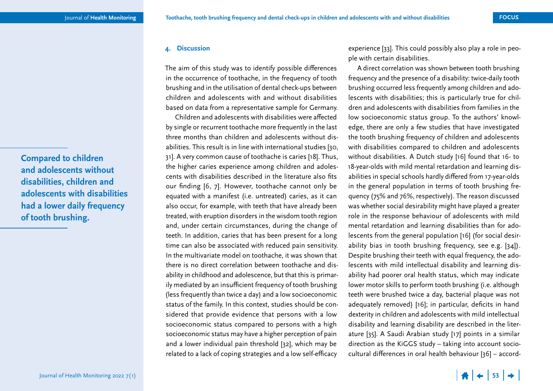## **4. Discussion**

The aim of this study was to identify possible differences in the occurrence of toothache, in the frequency of tooth brushing and in the utilisation of dental check-ups between children and adolescents with and without disabilities based on data from a representative sample for Germany.

Children and adolescents with disabilities were affected by single or recurrent toothache more frequently in the last three months than children and adolescents without disabilities. This result is in line with international studies [30, 31]. A very common cause of toothache is caries [18]. Thus, the higher caries experience among children and adolescents with disabilities described in the literature also fits our finding [6, 7]. However, toothache cannot only be equated with a manifest (i.e. untreated) caries, as it can also occur, for example, with teeth that have already been treated, with eruption disorders in the wisdom tooth region and, under certain circumstances, during the change of teeth. In addition, caries that has been present for a long time can also be associated with reduced pain sensitivity. In the multivariate model on toothache, it was shown that there is no direct correlation between toothache and disability in childhood and adolescence, but that this is primarily mediated by an insufficient frequency of tooth brushing (less frequently than twice a day) and a low socioeconomic status of the family. In this context, studies should be considered that provide evidence that persons with a low socioeconomic status compared to persons with a high socioeconomic status may have a higher perception of pain and a lower individual pain threshold [32], which may be related to a lack of coping strategies and a low self-efficacy

experience [33]. This could possibly also play a role in people with certain disabilities.

A direct correlation was shown between tooth brushing frequency and the presence of a disability: twice-daily tooth brushing occurred less frequently among children and adolescents with disabilities; this is particularly true for children and adolescents with disabilities from families in the low socioeconomic status group. To the authors' knowledge, there are only a few studies that have investigated the tooth brushing frequency of children and adolescents with disabilities compared to children and adolescents without disabilities. A Dutch study [16] found that 16- to 18-year-olds with mild mental retardation and learning disabilities in special schools hardly differed from 17-year-olds in the general population in terms of tooth brushing frequency (75% and 76%, respectively). The reason discussed was whether social desirability might have played a greater role in the response behaviour of adolescents with mild mental retardation and learning disabilities than for adolescents from the general population [16] (for social desirability bias in tooth brushing frequency, see e.g. [34]). Despite brushing their teeth with equal frequency, the adolescents with mild intellectual disability and learning disability had poorer oral health status, which may indicate lower motor skills to perform tooth brushing (i.e. although teeth were brushed twice a day, bacterial plaque was not adequately removed) [16]; in particular, deficits in hand dexterity in children and adolescents with mild intellectual disability and learning disability are described in the literature [35]. A Saudi Arabian study [17] points in a similar direction as the KiGGS study – taking into account sociocultural differences in oral health behaviour [36] – accord-

**Compared to children and adolescents without disabilities, children and adolescents with disabilities had a lower daily frequency of tooth brushing.**

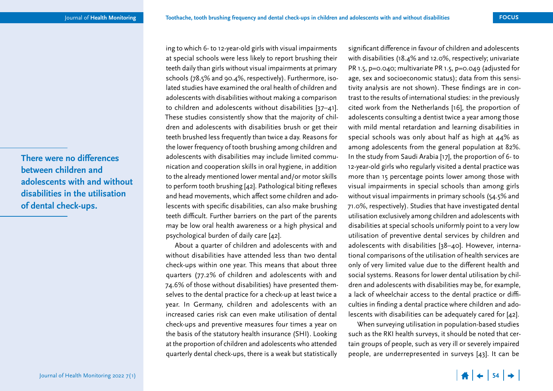**There were no differences between children and adolescents with and without disabilities in the utilisation of dental check-ups.**

ing to which 6- to 12-year-old girls with visual impairments at special schools were less likely to report brushing their teeth daily than girls without visual impairments at primary schools (78.5% and 90.4%, respectively). Furthermore, isolated studies have examined the oral health of children and adolescents with disabilities without making a comparison to children and adolescents without disabilities [37–41]. These studies consistently show that the majority of children and adolescents with disabilities brush or get their teeth brushed less frequently than twice a day. Reasons for the lower frequency of tooth brushing among children and adolescents with disabilities may include limited communication and cooperation skills in oral hygiene, in addition to the already mentioned lower mental and/or motor skills to perform tooth brushing [42]. Pathological biting reflexes and head movements, which affect some children and adolescents with specific disabilities, can also make brushing teeth difficult. Further barriers on the part of the parents may be low oral health awareness or a high physical and psychological burden of daily care [42].

About a quarter of children and adolescents with and without disabilities have attended less than two dental check-ups within one year. This means that about three quarters (77.2% of children and adolescents with and 74.6% of those without disabilities) have presented themselves to the dental practice for a check-up at least twice a year. In Germany, children and adolescents with an increased caries risk can even make utilisation of dental check-ups and preventive measures four times a year on the basis of the statutory health insurance (SHI). Looking at the proportion of children and adolescents who attended quarterly dental check-ups, there is a weak but statistically

significant difference in favour of children and adolescents with disabilities (18.4% and 12.0%, respectively; univariate PR 1.5, p=0.040; multivariate PR 1.5, p=0.049 (adjusted for age, sex and socioeconomic status); data from this sensitivity analysis are not shown). These findings are in contrast to the results of international studies: in the previously cited work from the Netherlands [16], the proportion of adolescents consulting a dentist twice a year among those with mild mental retardation and learning disabilities in special schools was only about half as high at 44% as among adolescents from the general population at 82%. In the study from Saudi Arabia [17], the proportion of 6- to 12-year-old girls who regularly visited a dental practice was more than 15 percentage points lower among those with visual impairments in special schools than among girls without visual impairments in primary schools (54.5% and 71.0%, respectively). Studies that have investigated dental utilisation exclusively among children and adolescents with disabilities at special schools uniformly point to a very low utilisation of preventive dental services by children and adolescents with disabilities [38–40]. However, international comparisons of the utilisation of health services are only of very limited value due to the different health and social systems. Reasons for lower dental utilisation by children and adolescents with disabilities may be, for example, a lack of wheelchair access to the dental practice or difficulties in finding a dental practice where children and adolescents with disabilities can be adequately cared for [42].

When surveying utilisation in population-based studies such as the RKI health surveys, it should be noted that certain groups of people, such as very ill or severely impaired people, are underrepresented in surveys [43]. It can be

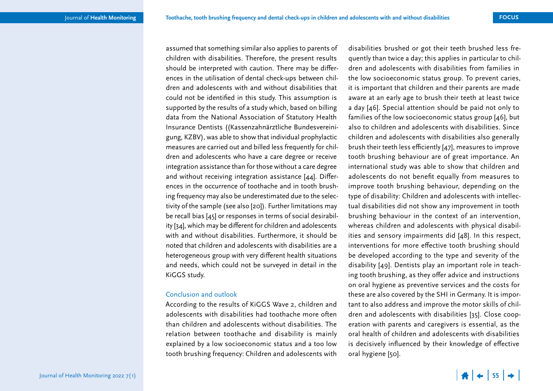assumed that something similar also applies to parents of children with disabilities. Therefore, the present results should be interpreted with caution. There may be differences in the utilisation of dental check-ups between children and adolescents with and without disabilities that could not be identified in this study. This assumption is supported by the results of a study which, based on billing data from the National Association of Statutory Health Insurance Dentists ((Kassenzahnärztliche Bundesvereinigung, KZBV), was able to show that individual prophylactic measures are carried out and billed less frequently for children and adolescents who have a care degree or receive integration assistance than for those without a care degree and without receiving integration assistance [44]. Differences in the occurrence of toothache and in tooth brushing frequency may also be underestimated due to the selectivity of the sample (see also [20]). Further limitations may be recall bias [45] or responses in terms of social desirability [34], which may be different for children and adolescents with and without disabilities. Furthermore, it should be noted that children and adolescents with disabilities are a heterogeneous group with very different health situations and needs, which could not be surveyed in detail in the KiGGS study.

## Conclusion and outlook

According to the results of KiGGS Wave 2, children and adolescents with disabilities had toothache more often than children and adolescents without disabilities. The relation between toothache and disability is mainly explained by a low socioeconomic status and a too low tooth brushing frequency: Children and adolescents with

disabilities brushed or got their teeth brushed less frequently than twice a day; this applies in particular to children and adolescents with disabilities from families in the low socioeconomic status group. To prevent caries, it is important that children and their parents are made aware at an early age to brush their teeth at least twice a day [46]. Special attention should be paid not only to families of the low socioeconomic status group [46], but also to children and adolescents with disabilities. Since children and adolescents with disabilities also generally brush their teeth less efficiently [47], measures to improve tooth brushing behaviour are of great importance. An international study was able to show that children and adolescents do not benefit equally from measures to improve tooth brushing behaviour, depending on the type of disability: Children and adolescents with intellectual disabilities did not show any improvement in tooth brushing behaviour in the context of an intervention, whereas children and adolescents with physical disabilities and sensory impairments did [48]. In this respect, interventions for more effective tooth brushing should be developed according to the type and severity of the disability [49]. Dentists play an important role in teaching tooth brushing, as they offer advice and instructions on oral hygiene as preventive services and the costs for these are also covered by the SHI in Germany. It is important to also address and improve the motor skills of children and adolescents with disabilities [35]. Close cooperation with parents and caregivers is essential, as the oral health of children and adolescents with disabilities is decisively influenced by their knowledge of effective oral hygiene [50].

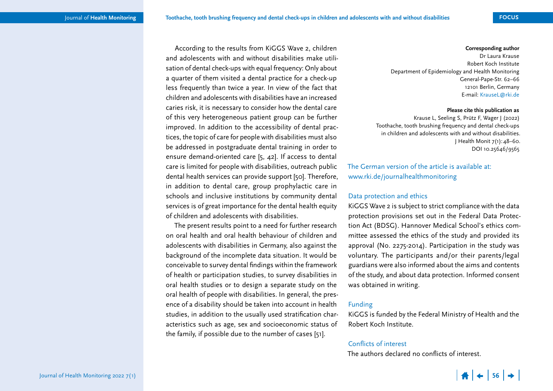According to the results from KiGGS Wave 2, children and adolescents with and without disabilities make utilisation of dental check-ups with equal frequency: Only about a quarter of them visited a dental practice for a check-up less frequently than twice a year. In view of the fact that children and adolescents with disabilities have an increased caries risk, it is necessary to consider how the dental care

of this very heterogeneous patient group can be further improved. In addition to the accessibility of dental practices, the topic of care for people with disabilities must also be addressed in postgraduate dental training in order to ensure demand-oriented care [5, 42]. If access to dental care is limited for people with disabilities, outreach public dental health services can provide support [50]. Therefore, in addition to dental care, group prophylactic care in schools and inclusive institutions by community dental

services is of great importance for the dental health equity of children and adolescents with disabilities.

The present results point to a need for further research on oral health and oral health behaviour of children and adolescents with disabilities in Germany, also against the background of the incomplete data situation. It would be conceivable to survey dental findings within the framework of health or participation studies, to survey disabilities in oral health studies or to design a separate study on the oral health of people with disabilities. In general, the presence of a disability should be taken into account in health studies, in addition to the usually used stratification characteristics such as age, sex and socioeconomic status of the family, if possible due to the number of cases [51].

#### **Corresponding author**

Dr Laura Krause Robert Koch Institute Department of Epidemiology and Health Monitoring General-Pape-Str. 62–66 12101 Berlin, Germany E-mail: [KrauseL@rki.de](mailto:KrauseL@rki.de)

#### **Please cite this publication as**

Krause L, Seeling S, Prütz F, Wager J (2022) Toothache, tooth brushing frequency and dental check-ups in children and adolescents with and without disabilities. J Health Monit 7(1):48–60. DOI 10.25646/9565

The German version of the article is available at: [www.rki.de/journalhealthmonitoring](https://www.rki.de/journalhealthmonitoring)

## Data protection and ethics

KiGGS Wave 2 is subject to strict compliance with the data protection provisions set out in the Federal Data Protection Act (BDSG). Hannover Medical School's ethics committee assessed the ethics of the study and provided its approval (No. 2275-2014). Participation in the study was voluntary. The participants and/or their parents/legal guardians were also informed about the aims and contents of the study, and about data protection. Informed consent was obtained in writing.

## Funding

KiGGS is funded by the Federal Ministry of Health and the Robert Koch Institute.

## Conflicts of interest

The authors declared no conflicts of interest.

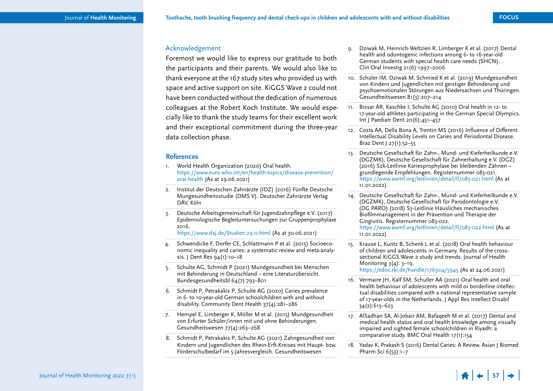## Acknowledgement

Foremost we would like to express our gratitude to both the participants and their parents. We would also like to thank everyone at the 167 study sites who provided us with space and active support on site. KiGGS Wave 2 could not have been conducted without the dedication of numerous colleagues at the Robert Koch Institute. We would especially like to thank the study teams for their excellent work and their exceptional commitment during the three-year data collection phase.

## **References**

- 1. World Health Organization (2020) Oral health. [https://www.euro.who.int/en/health-topics/disease-prevention/](https://www.euro.who.int/en/health-topics/disease-prevention/oral-health) [oral-health](https://www.euro.who.int/en/health-topics/disease-prevention/oral-health) (As at 29.06.2021)
- 2. Institut der Deutschen Zahnärzte (IDZ) (2016) Fünfte Deutsche Mungesundheitsstudie (DMS V). Deutscher Zahnärzte Verlag DÄV, Köln
- 3. Deutsche Arbeitsgemeinschaft für Jugendzahnpflege e.V. (2017) Epidemiologische Begleituntersuchungen zur Gruppenprophylaxe 2016.

<https://www.daj.de/Studien.29.0.html>(As at 30.06.2021)

- 4. Schwendicke F, Dorfer CE, Schlattmann P et al. (2015) Socioeconomic inequality and caries: a systematic review and meta-analysis. J Dent Res 94(1):10–18
- 5. Schulte AG, Schmidt P (2021) Mundgesundheit bei Menschen mit Behinderung in Deutschland – eine Literaturübersicht. Bundesgesundheitsbl 64(7):793–801
- 6. Schmidt P, Petrakakis P, Schulte AG (2020) Caries prevalence in 6- to 10-year-old German schoolchildren with and without disability. Community Dent Health 37(4):281–286
- 7. Hempel E, Limberger K, Möller M et al. (2015) Mundgesundheit von Erfurter Schüler/innen mit und ohne Behinderungen. Gesundheitswesen 77(4):263–268
- 8. Schmidt P, Petrakakis P, Schulte AG (2021) Zahngesundheit von Kindern und Jugendlichen des Rhein-Erft-Kreises mit Haupt- bzw. Förderschulbedarf im 5-Jahresvergleich. Gesundheitswesen
- 9. Dziwak M, Heinrich-Weltzien R, Limberger K et al. (2017) Dental health and odontogenic infections among 6- to 16-year-old German students with special health care needs (SHCN). Clin Oral Investig 21(6):1997–2006
- 10. Schüler IM, Dziwak M, Schmied K et al. (2019) Mundgesundheit von Kindern und Jugendlichen mit geistiger Behinderung und psychoemotionalen Störungen aus Niedersachsen und Thüringen. Gesundheitswesen 81(3):207–214
- 11. Bissar AR, Kaschke I, Schulte AG (2010) Oral health in 12- to 17-year-old athletes participating in the German Special Olympics. Int J Paediatr Dent 20(6):451–457
- 12. Costa AA, Della Bona A, Trentin MS (2016) Influence of Different Intellectual Disability Levels on Caries and Periodontal Disease. Braz Dent J 27(1):52–55
- 13. Deutsche Gesellschaft für Zahn-, Mund- und Kieferheilkunde e.V. (DGZMK), Deutsche Gesellschaft für Zahnerhaltung e.V. (DGZ) (2016) S2k-Leitlinie Kariesprophylaxe bei bleibenden Zähnen – grundlegende Empfehlungen. Registernummer 083-021. <https://www.awmf.org/leitlinien/detail/ll/083-021.html> (As at 11.01.2022)
- 14. Deutsche Gesellschaft für Zahn-, Mund- und Kieferheilkunde e.V. (DGZMK), Deutsche Gesellschaft für Parodontologie e.V. (DG PARO) (2018) S3-Leitlinie Häusliches mechanisches Biofilmmanagement in der Prävention und Therapie der Gingivitis. Registernummer 083-022. <https://www.awmf.org/leitlinien/detail/ll/083-022.html> (As at

11.01.2022)

- 15. Krause L, Kuntz B, Schenk L et al. (2018) Oral health behaviour of children and adolescents in Germany. Results of the crosssectional KiGGS Wave 2 study and trends. Journal of Health Monitoring 3(4): 3–19. <https://edoc.rki.de/handle/176904/5945>(As at 24.06.2021)
- 16. Vermaire JH, Kalf SM, Schuller AA (2021) Oral health and oral health behaviour of adolescents with mild or borderline intellectual disabilities compared with a national representative sample of 17-year-olds in the Netherlands. J Appl Res Intellect Disabil 34(2):615–623
- 17. AlSadhan SA, Al-Jobair AM, Bafaqeeh M et al. (2017) Dental and medical health status and oral health knowledge among visually impaired and sighted female schoolchildren in Riyadh: a comparative study. BMC Oral Health 17(1):154
- 18. Yadav K, Prakash S (2016) Dental Caries: A Review. Asian J Biomed Pharm Sci 6(53):1–7

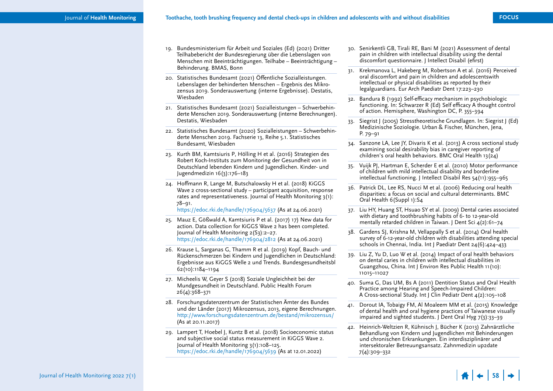- 19. Bundesministerium für Arbeit und Soziales (Ed) (2021) Dritter Teilhabebericht der Bundesregierung über die Lebenslagen von Menschen mit Beeinträchtigungen. Teilhabe – Beeinträchtigung – Behinderung. BMAS, Bonn
- 20. Statistisches Bundesamt (2021) Öffentliche Sozialleistungen. Lebenslagen der behinderten Menschen – Ergebnis des Mikrozensus 2019. Sonderauswertung (interne Ergebnisse). Destatis, Wiesbaden
- 21. Statistisches Bundesamt (2021) Sozialleistungen Schwerbehinderte Menschen 2019. Sonderauswertung (interne Berechnungen). Destatis, Wiesbaden
- 22. Statistisches Bundesamt (2020) Sozialleistungen Schwerbehinderte Menschen 2019. Fachserie 13, Reihe 5.1. Statistisches Bundesamt, Wiesbaden
- 23. Kurth BM, Kamtsiuris P, Hölling H et al. (2016) Strategien des Robert Koch-Instituts zum Monitoring der Gesundheit von in Deutschland lebenden Kindern und Jugendlichen. Kinder- und Jugendmedizin 16(3):176–183
- 24. Hoffmann R, Lange M, Butschalowsky H et al. (2018) KiGGS Wave 2 cross-sectional study – participant acquisition, response rates and representativeness. Journal of Health Monitoring 3(1): 78–91.

<https://edoc.rki.de/handle/176904/5637>(As at 24.06.2021)

- 25. Mauz E, Gößwald A, Kamtsiuris P et al. (2017) 17) New data for action. Data collection for KiGGS Wave 2 has been completed. Journal of Health Monitoring 2(S3):2–27. <https://edoc.rki.de/handle/176904/2812>(As at 24.06.2021)
- 26. Krause L, Sarganas G, Thamm R et al. (2019) Kopf, Bauch- und Rückenschmerzen bei Kindern und Jugendlichen in Deutschland: Ergebnisse aus KiGGS Welle 2 und Trends. Bundesgesundheitsbl 62(10):1184–1194
- 27. Micheelis W, Geyer S (2018) Soziale Ungleichheit bei der Mundgesundheit in Deutschland. Public Health Forum 26(4):368–371
- 28. Forschungsdatenzentrum der Statistischen Ämter des Bundes und der Länder (2017) Mikrozensus, 2013, eigene Berechnungen. <http://www.forschungsdatenzentrum.de/bestand/mikrozensus/> (As at 20.11.2017)
- 29. Lampert T, Hoebel J, Kuntz B et al. (2018) Socioeconomic status and subjective social status measurement in KiGGS Wave 2. Journal of Health Monitoring 3(1):108–125. <https://edoc.rki.de/handle/176904/5639> (As at 12.01.2022)
- 30. Senirkentli GB, Tirali RE, Bani M (2021) Assessment of dental pain in children with intellectual disability using the dental discomfort questionnaire. J Intellect Disabil (efirst)
- 31. Krekmanova L, Hakeberg M, Robertson A et al. (2016) Perceived oral discomfort and pain in children and adolescentswith intellectual or physical disabilities as reported by their legalguardians. Eur Arch Paediatr Dent 17:223–230
- 32. Bandura B (1992) Self-efficacy mechanism in psychobiologic functioning. In: Schwarzer R (Ed) Self efficacy A thought control of action. Hemisphere, Washington DC, P. 355–394
- 33. Siegrist J (2005) Stresstheoretische Grundlagen. In: Siegrist J (Ed) Medizinische Soziologie. Urban & Fischer, München, Jena, P. 79–91
- 34. Sanzone LA, Lee JY, Divaris K et al. (2013) A cross sectional study examining social desirability bias in caregiver reporting of children's oral health behaviors. BMC Oral Health 13(24)
- 35. Vuijk PJ, Hartman E, Scherder E et al. (2010) Motor performance of children with mild intellectual disability and borderline intellectual functioning. J Intellect Disabil Res 54(11):955–965
- 36. Patrick DL, Lee RS, Nucci M et al. (2006) Reducing oral health disparities: a focus on social and cultural determinants. BMC Oral Health 6(Suppl 1):S4
- 37. Liu HY, Huang ST, Hsuao SY et al. (2009) Dental caries associated with dietary and toothbrushing habits of 6- to 12-year-old mentally retarded children in Taiwan. J Dent Sci  $4(2):61-74$
- 38. Gardens SJ, Krishna M, Vellappally S et al. (2014) Oral health survey of 6-12-year-old children with disabilities attending special schools in Chennai, India. Int J Paediatr Dent 24(6):424-433
- 39. Liu Z, Yu D, Luo W et al. (2014) Impact of oral health behaviors on dental caries in children with intellectual disabilities in Guangzhou, China. Int J Environ Res Public Health 11(10): 11015–11027
- 40. Suma G, Das UM, Bs A (2011) Dentition Status and Oral Health Practice among Hearing and Speech-Impaired Children: A Cross-sectional Study. Int J Clin Pediatr Dent 4(2):105–108
- 41. Dorout IA, Tobaigy FM, Al Moaleem MM et al. (2015) Knowledge of dental health and oral hygiene practices of Taiwanese visually impaired and sighted students. J Dent Oral Hyg 7(3):33–39
- 42. Heinrich-Weltzien R, Kühnisch J, Bücher K (2013) Zahnärztliche Behandlung von Kindern und Jugendlichen mit Behinderungen und chronischen Erkrankungen. Ein interdisziplinärer und intersektoraler Betreuungsansatz. Zahnmedizin up2date 7(4):309–332

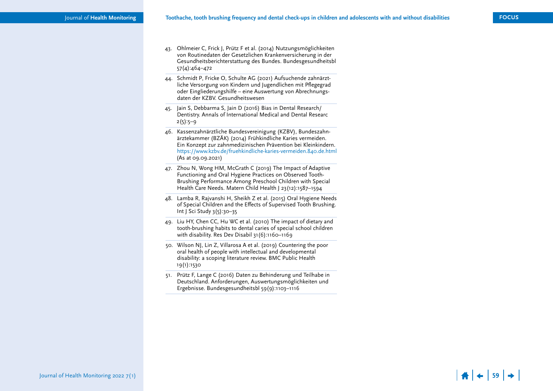$\frac{4}{1}$   $\div$  59  $\rightarrow$ 

- 43. Ohlmeier C, Frick J, Prütz F et al. (2014) Nutzungsmöglichkeiten von Routinedaten der Gesetzlichen Krankenversicherung in der Gesundheitsberichterstattung des Bundes. Bundesgesundheitsbl 57(4):464–472
- 44. Schmidt P, Fricke O, Schulte AG (2021) Aufsuchende zahnärzt liche Versorgung von Kindern und Jugendlichen mit Pflegegrad oder Eingliederungshilfe – eine Auswertung von Abrechnungs daten der KZBV. Gesundheitswesen
- 45. Jain S, Debbarma S, Jain D (2016) Bias in Dental Research/ Dentistry. Annals of International Medical and Dental Researc  $2(5):5-9$
- 46. Kassenzahnärztliche Bundesvereinigung (KZBV), Bundeszahn ärztekammer (BZÄK) (2014) Frühkindliche Karies vermeiden. Ein Konzept zur zahnmedizinischen Prävention bei Kleinkindern. <https://www.kzbv.de/fruehkindliche-karies-vermeiden.840.de.html> (As at 09.09.2021)
- 47. Zhou N, Wong HM, McGrath C (2019) The Impact of Adaptive Functioning and Oral Hygiene Practices on Observed Tooth-Brushing Performance Among Preschool Children with Special Health Care Needs. Matern Child Health J 23(12):1587–1594
- 48. Lamba R, Rajvanshi H, Sheikh Z et al. (2015) Oral Hygiene Needs of Special Children and the Effects of Supervised Tooth Brushing. Int J Sci Study 3(5):30–35
- 49. Liu HY, Chen CC, Hu WC et al. (2010) The impact of dietary and tooth-brushing habits to dental caries of special school children with disability. Res Dev Disabil 31(6):1160–1169
- 50. Wilson NJ, Lin Z, Villarosa A et al. (2019) Countering the poor oral health of people with intellectual and developmental disability: a scoping literature review. BMC Public Health 19(1):1530
- 51. Prütz F, Lange C (2016) Daten zu Behinderung und Teilhabe in Deutschland. Anforderungen, Auswertungsmöglichkeiten und Ergebnisse. Bundesgesundheitsbl 59(9):1103–1116